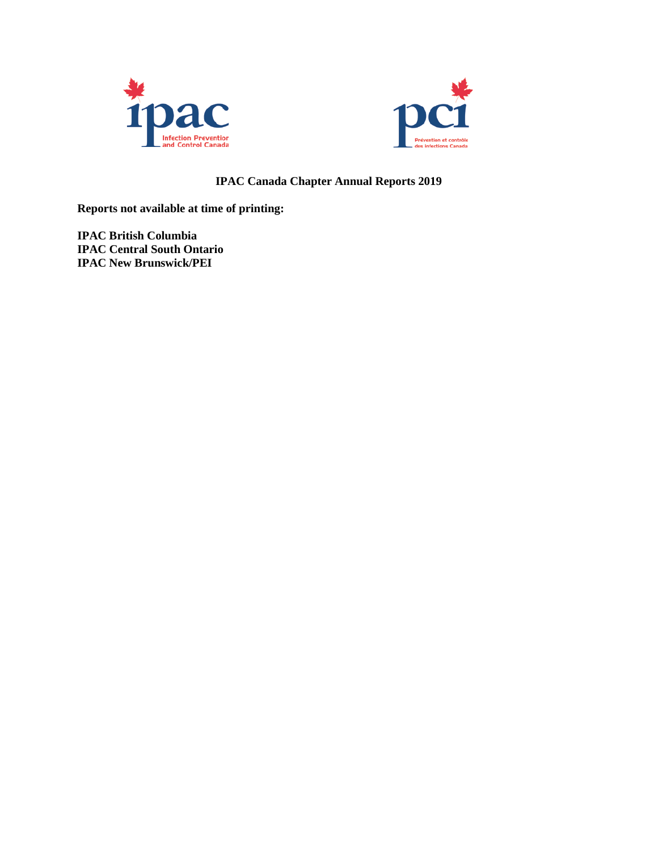



# **IPAC Canada Chapter Annual Reports 2019**

**Reports not available at time of printing:**

**IPAC British Columbia IPAC Central South Ontario IPAC New Brunswick/PEI**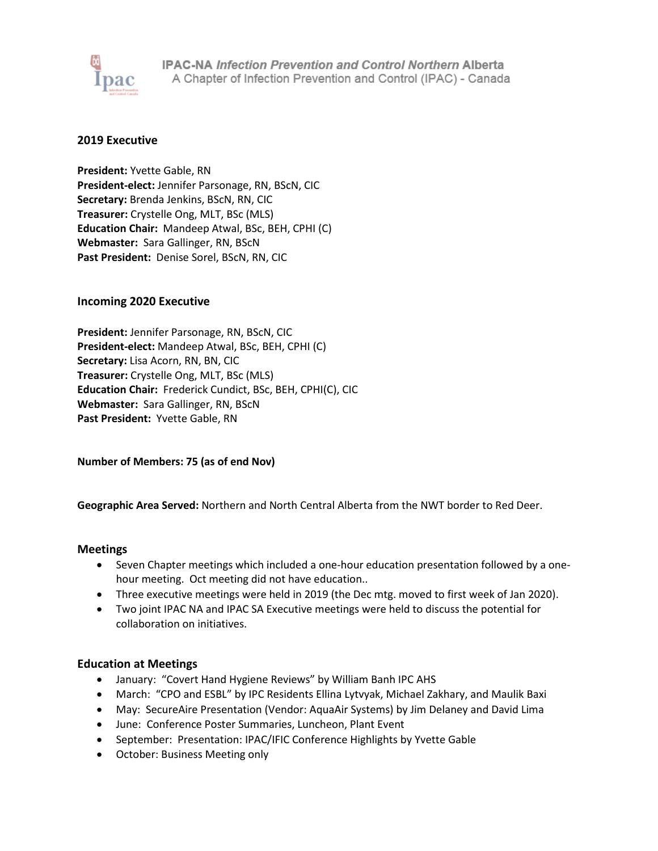

### **2019 Executive**

**President:** Yvette Gable, RN **President-elect:** Jennifer Parsonage, RN, BScN, CIC **Secretary:** Brenda Jenkins, BScN, RN, CIC **Treasurer:** Crystelle Ong, MLT, BSc (MLS) **Education Chair:** Mandeep Atwal, BSc, BEH, CPHI (C) **Webmaster:** Sara Gallinger, RN, BScN **Past President:** Denise Sorel, BScN, RN, CIC

# **Incoming 2020 Executive**

**President:** Jennifer Parsonage, RN, BScN, CIC **President-elect:** Mandeep Atwal, BSc, BEH, CPHI (C) **Secretary:** Lisa Acorn, RN, BN, CIC **Treasurer:** Crystelle Ong, MLT, BSc (MLS) **Education Chair:** Frederick Cundict, BSc, BEH, CPHI(C), CIC **Webmaster:** Sara Gallinger, RN, BScN **Past President:** Yvette Gable, RN

**Number of Members: 75 (as of end Nov)**

**Geographic Area Served:** Northern and North Central Alberta from the NWT border to Red Deer.

### **Meetings**

- Seven Chapter meetings which included a one-hour education presentation followed by a onehour meeting. Oct meeting did not have education..
- Three executive meetings were held in 2019 (the Dec mtg. moved to first week of Jan 2020).
- Two joint IPAC NA and IPAC SA Executive meetings were held to discuss the potential for collaboration on initiatives.

# **Education at Meetings**

- January: "Covert Hand Hygiene Reviews" by William Banh IPC AHS
- March: "CPO and ESBL" by IPC Residents Ellina Lytvyak, Michael Zakhary, and Maulik Baxi
- May: SecureAire Presentation (Vendor: AquaAir Systems) by Jim Delaney and David Lima
- June: Conference Poster Summaries, Luncheon, Plant Event
- September: Presentation: IPAC/IFIC Conference Highlights by Yvette Gable
- October: Business Meeting only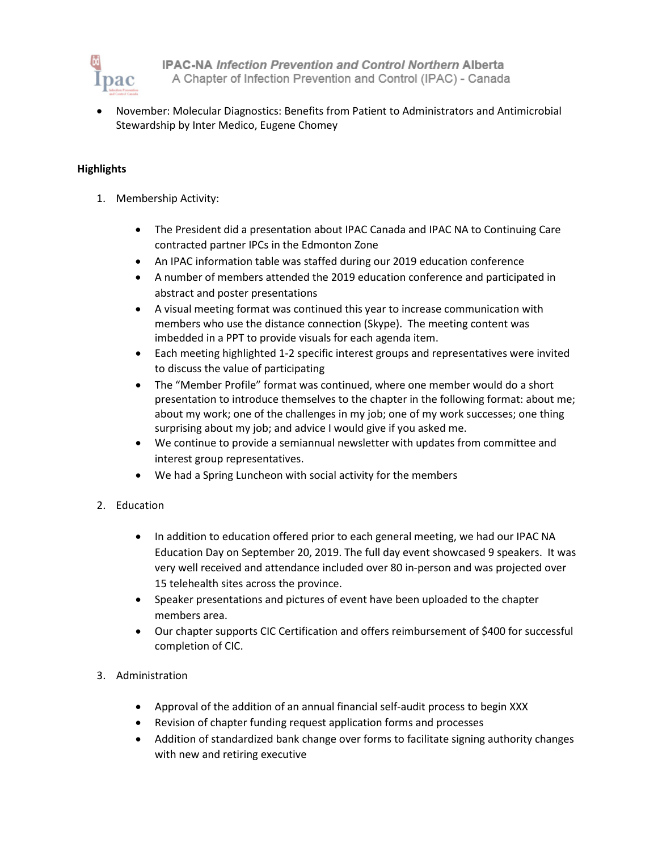

**IPAC-NA Infection Prevention and Control Northern Alberta** A Chapter of Infection Prevention and Control (IPAC) - Canada

• November: Molecular Diagnostics: Benefits from Patient to Administrators and Antimicrobial Stewardship by Inter Medico, Eugene Chomey

# **Highlights**

- 1. Membership Activity:
	- The President did a presentation about IPAC Canada and IPAC NA to Continuing Care contracted partner IPCs in the Edmonton Zone
	- An IPAC information table was staffed during our 2019 education conference
	- A number of members attended the 2019 education conference and participated in abstract and poster presentations
	- A visual meeting format was continued this year to increase communication with members who use the distance connection (Skype). The meeting content was imbedded in a PPT to provide visuals for each agenda item.
	- Each meeting highlighted 1-2 specific interest groups and representatives were invited to discuss the value of participating
	- The "Member Profile" format was continued, where one member would do a short presentation to introduce themselves to the chapter in the following format: about me; about my work; one of the challenges in my job; one of my work successes; one thing surprising about my job; and advice I would give if you asked me.
	- We continue to provide a semiannual newsletter with updates from committee and interest group representatives.
	- We had a Spring Luncheon with social activity for the members
- 2. Education
	- In addition to education offered prior to each general meeting, we had our IPAC NA Education Day on September 20, 2019. The full day event showcased 9 speakers. It was very well received and attendance included over 80 in-person and was projected over 15 telehealth sites across the province.
	- Speaker presentations and pictures of event have been uploaded to the chapter members area.
	- Our chapter supports CIC Certification and offers reimbursement of \$400 for successful completion of CIC.

# 3. Administration

- Approval of the addition of an annual financial self-audit process to begin XXX
- Revision of chapter funding request application forms and processes
- Addition of standardized bank change over forms to facilitate signing authority changes with new and retiring executive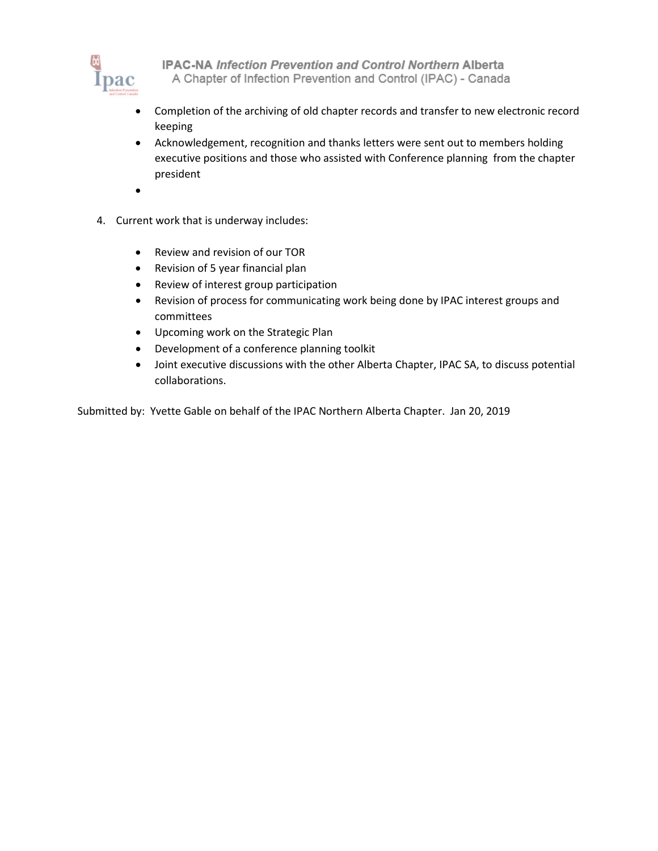

IPAC-NA Infection Prevention and Control Northern Alberta A Chapter of Infection Prevention and Control (IPAC) - Canada

- Completion of the archiving of old chapter records and transfer to new electronic record keeping
- Acknowledgement, recognition and thanks letters were sent out to members holding executive positions and those who assisted with Conference planning from the chapter president
- •
- 4. Current work that is underway includes:
	- Review and revision of our TOR
	- Revision of 5 year financial plan
	- Review of interest group participation
	- Revision of process for communicating work being done by IPAC interest groups and committees
	- Upcoming work on the Strategic Plan
	- Development of a conference planning toolkit
	- Joint executive discussions with the other Alberta Chapter, IPAC SA, to discuss potential collaborations.

Submitted by: Yvette Gable on behalf of the IPAC Northern Alberta Chapter. Jan 20, 2019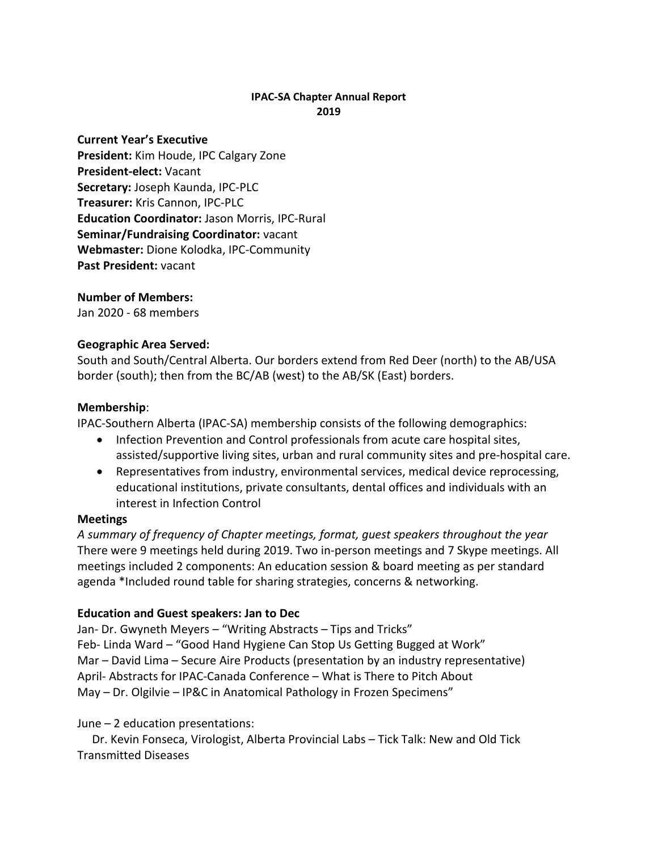# **IPAC-SA Chapter Annual Report 2019**

**Current Year's Executive President:** Kim Houde, IPC Calgary Zone **President-elect:** Vacant **Secretary:** Joseph Kaunda, IPC-PLC **Treasurer:** Kris Cannon, IPC-PLC **Education Coordinator:** Jason Morris, IPC-Rural **Seminar/Fundraising Coordinator:** vacant **Webmaster:** Dione Kolodka, IPC-Community **Past President:** vacant

# **Number of Members:**

Jan 2020 - 68 members

# **Geographic Area Served:**

South and South/Central Alberta. Our borders extend from Red Deer (north) to the AB/USA border (south); then from the BC/AB (west) to the AB/SK (East) borders.

# **Membership**:

IPAC-Southern Alberta (IPAC-SA) membership consists of the following demographics:

- Infection Prevention and Control professionals from acute care hospital sites, assisted/supportive living sites, urban and rural community sites and pre-hospital care.
- Representatives from industry, environmental services, medical device reprocessing, educational institutions, private consultants, dental offices and individuals with an interest in Infection Control

# **Meetings**

*A summary of frequency of Chapter meetings, format, guest speakers throughout the year* There were 9 meetings held during 2019. Two in-person meetings and 7 Skype meetings. All meetings included 2 components: An education session & board meeting as per standard agenda \*Included round table for sharing strategies, concerns & networking.

# **Education and Guest speakers: Jan to Dec**

Jan- Dr. Gwyneth Meyers – "Writing Abstracts – Tips and Tricks" Feb- Linda Ward – "Good Hand Hygiene Can Stop Us Getting Bugged at Work" Mar – David Lima – Secure Aire Products (presentation by an industry representative) April- Abstracts for IPAC-Canada Conference – What is There to Pitch About May – Dr. Olgilvie – IP&C in Anatomical Pathology in Frozen Specimens"

# June – 2 education presentations:

 Dr. Kevin Fonseca, Virologist, Alberta Provincial Labs – Tick Talk: New and Old Tick Transmitted Diseases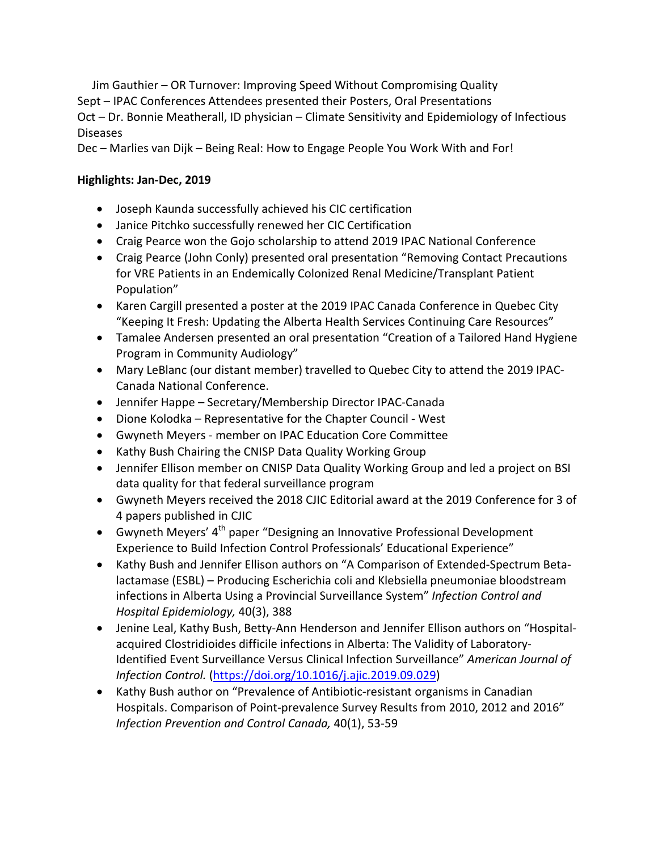Jim Gauthier – OR Turnover: Improving Speed Without Compromising Quality Sept – IPAC Conferences Attendees presented their Posters, Oral Presentations Oct – Dr. Bonnie Meatherall, ID physician – Climate Sensitivity and Epidemiology of Infectious Diseases

Dec – Marlies van Dijk – Being Real: How to Engage People You Work With and For!

# **Highlights: Jan-Dec, 2019**

- Joseph Kaunda successfully achieved his CIC certification
- Janice Pitchko successfully renewed her CIC Certification
- Craig Pearce won the Gojo scholarship to attend 2019 IPAC National Conference
- Craig Pearce (John Conly) presented oral presentation "Removing Contact Precautions for VRE Patients in an Endemically Colonized Renal Medicine/Transplant Patient Population"
- Karen Cargill presented a poster at the 2019 IPAC Canada Conference in Quebec City "Keeping It Fresh: Updating the Alberta Health Services Continuing Care Resources"
- Tamalee Andersen presented an oral presentation "Creation of a Tailored Hand Hygiene Program in Community Audiology"
- Mary LeBlanc (our distant member) travelled to Quebec City to attend the 2019 IPAC-Canada National Conference.
- Jennifer Happe Secretary/Membership Director IPAC-Canada
- Dione Kolodka Representative for the Chapter Council West
- Gwyneth Meyers member on IPAC Education Core Committee
- Kathy Bush Chairing the CNISP Data Quality Working Group
- Jennifer Ellison member on CNISP Data Quality Working Group and led a project on BSI data quality for that federal surveillance program
- Gwyneth Meyers received the 2018 CJIC Editorial award at the 2019 Conference for 3 of 4 papers published in CJIC
- Gwyneth Meyers'  $4<sup>th</sup>$  paper "Designing an Innovative Professional Development Experience to Build Infection Control Professionals' Educational Experience"
- Kathy Bush and Jennifer Ellison authors on "A Comparison of Extended-Spectrum Betalactamase (ESBL) – Producing Escherichia coli and Klebsiella pneumoniae bloodstream infections in Alberta Using a Provincial Surveillance System" *Infection Control and Hospital Epidemiology,* 40(3), 388
- Jenine Leal, Kathy Bush, Betty-Ann Henderson and Jennifer Ellison authors on "Hospitalacquired Clostridioides difficile infections in Alberta: The Validity of Laboratory-Identified Event Surveillance Versus Clinical Infection Surveillance" *American Journal of Infection Control.* [\(https://doi.org/10.1016/j.ajic.2019.09.029\)](https://doi.org/10.1016/j.ajic.2019.09.029)
- Kathy Bush author on "Prevalence of Antibiotic-resistant organisms in Canadian Hospitals. Comparison of Point-prevalence Survey Results from 2010, 2012 and 2016" *Infection Prevention and Control Canada,* 40(1), 53-59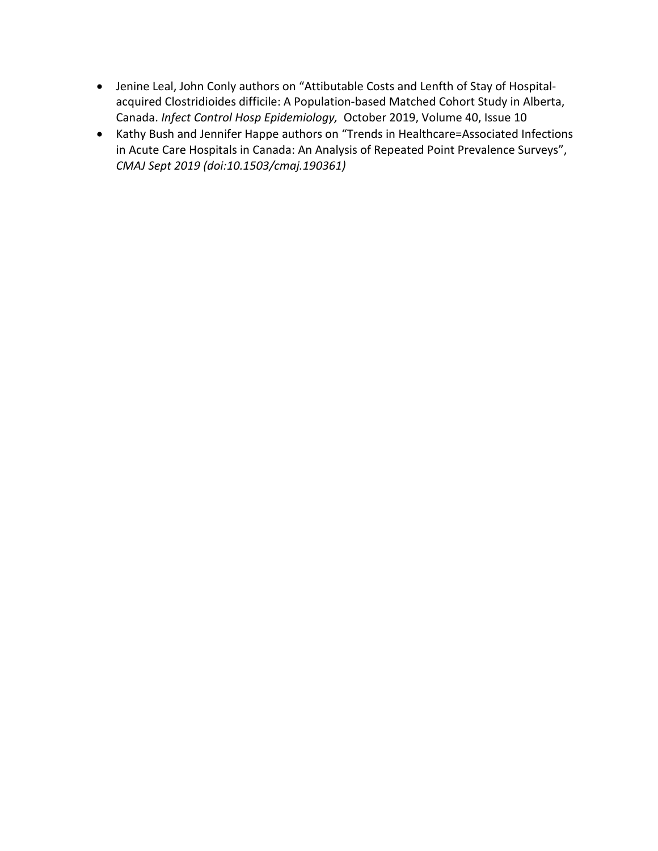- Jenine Leal, John Conly authors on "Attibutable Costs and Lenfth of Stay of Hospitalacquired Clostridioides difficile: A Population-based Matched Cohort Study in Alberta, Canada. *Infect Control Hosp Epidemiology,* October 2019, Volume 40, Issue 10
- Kathy Bush and Jennifer Happe authors on "Trends in Healthcare=Associated Infections in Acute Care Hospitals in Canada: An Analysis of Repeated Point Prevalence Surveys", *CMAJ Sept 2019 (doi:10.1503/cmaj.190361)*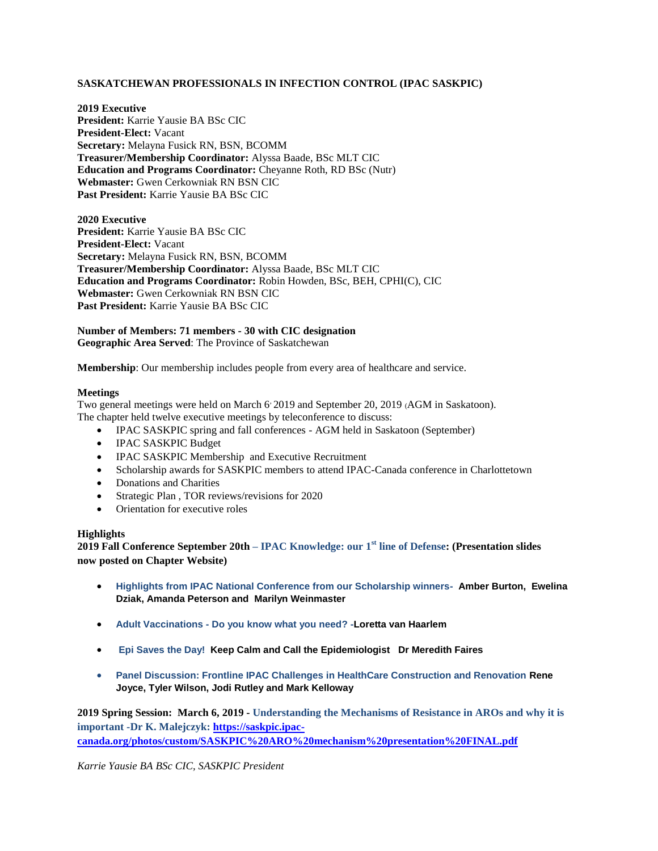### **SASKATCHEWAN PROFESSIONALS IN INFECTION CONTROL (IPAC SASKPIC)**

**2019 Executive President:** Karrie Yausie BA BSc CIC **President-Elect:** Vacant **Secretary:** Melayna Fusick RN, BSN, BCOMM **Treasurer/Membership Coordinator:** Alyssa Baade, BSc MLT CIC **Education and Programs Coordinator:** Cheyanne Roth, RD BSc (Nutr) **Webmaster:** Gwen Cerkowniak RN BSN CIC **Past President:** Karrie Yausie BA BSc CIC

**2020 Executive President:** Karrie Yausie BA BSc CIC **President-Elect:** Vacant **Secretary:** Melayna Fusick RN, BSN, BCOMM **Treasurer/Membership Coordinator:** Alyssa Baade, BSc MLT CIC **Education and Programs Coordinator:** Robin Howden, BSc, BEH, CPHI(C), CIC **Webmaster:** Gwen Cerkowniak RN BSN CIC **Past President:** Karrie Yausie BA BSc CIC

**Number of Members: 71 members - 30 with CIC designation Geographic Area Served**: The Province of Saskatchewan

**Membership**: Our membership includes people from every area of healthcare and service.

#### **Meetings**

Two general meetings were held on March 6, 2019 and September 20, 2019 (AGM in Saskatoon). The chapter held twelve executive meetings by teleconference to discuss:

- IPAC SASKPIC spring and fall conferences AGM held in Saskatoon (September)
- IPAC SASKPIC Budget
- IPAC SASKPIC Membership and Executive Recruitment
- Scholarship awards for SASKPIC members to attend IPAC-Canada conference in Charlottetown
- Donations and Charities
- Strategic Plan , TOR reviews/revisions for 2020
- Orientation for executive roles

### **Highlights**

**2019 Fall Conference September 20th – IPAC Knowledge: our 1st line of Defense: (Presentation slides now posted on Chapter Website)**

- **Highlights from IPAC National Conference from our Scholarship winners- Amber [Burton,](https://saskpic.ipac-canada.org/photos/custom/Highlights%20from%20IPAC%20National%20Conference%20.1%20Amber.pdf) [Ewelina](https://saskpic.ipac-canada.org/photos/custom/Highlights%20from%20IPAC%20National%20Conference%20%20.2%20Eva.pdf) Dziak[, Amanda](https://saskpic.ipac-canada.org/photos/custom/Highlight%20from%20IPAC%20National%20Conference%20.3%20Amanda.pdf) Peterson and [Marilyn](https://saskpic.ipac-canada.org/photos/custom/Highlights%20from%20IPAC%20National%20Conference%204.%20Marilyn.pdf) Weinmaster**
- **Adult Vaccinations - [Do you know what you need?](https://saskpic.ipac-canada.org/photos/custom/8.%20SASKPIC%20adult%20immunization%202019-09-20.pdf) -Loretta van Haarlem**
- **[Epi Saves](https://saskpic.ipac-canada.org/photos/custom/10.%20SaskPic_Sept%202019_Epi%20Saves%20the%20Day.pdf) the Day! Keep Calm and Call the Epidemiologist Dr Meredith Faires**
- **Panel Discussion: Frontline IPAC Challenges in HealthCare Construction and Renovation Rene Joyce, Tyler Wilson, Jodi Rutley and Mark Kelloway**

**2019 Spring Session: March 6, 2019 - Understanding the Mechanisms of Resistance in AROs and why it is important -Dr K. Malejczyk: [https://saskpic.ipac](https://saskpic.ipac-canada.org/photos/custom/SASKPIC%20ARO%20mechanism%20presentation%20FINAL.pdf)[canada.org/photos/custom/SASKPIC%20ARO%20mechanism%20presentation%20FINAL.pdf](https://saskpic.ipac-canada.org/photos/custom/SASKPIC%20ARO%20mechanism%20presentation%20FINAL.pdf)**

*Karrie Yausie BA BSc CIC, SASKPIC President*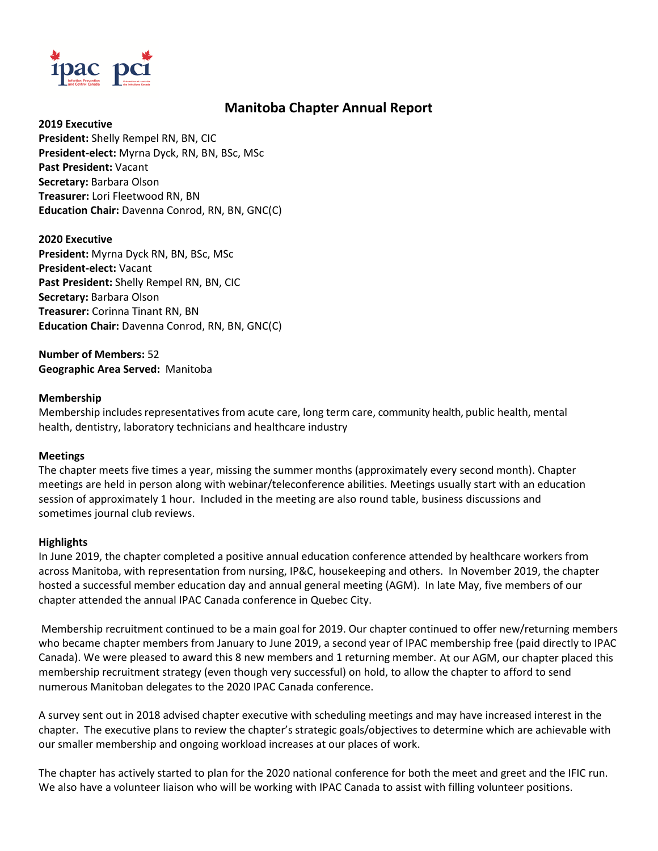

# **Manitoba Chapter Annual Report**

**2019 Executive President:** Shelly Rempel RN, BN, CIC **President-elect:** Myrna Dyck, RN, BN, BSc, MSc **Past President:** Vacant **Secretary:** Barbara Olson **Treasurer:** Lori Fleetwood RN, BN **Education Chair:** Davenna Conrod, RN, BN, GNC(C)

**2020 Executive President:** Myrna Dyck RN, BN, BSc, MSc **President-elect:** Vacant **Past President:** Shelly Rempel RN, BN, CIC **Secretary:** Barbara Olson **Treasurer:** Corinna Tinant RN, BN **Education Chair:** Davenna Conrod, RN, BN, GNC(C)

**Number of Members:** 52 **Geographic Area Served:** Manitoba

# **Membership**

Membership includes representatives from acute care, long term care, community health, public health, mental health, dentistry, laboratory technicians and healthcare industry

### **Meetings**

The chapter meets five times a year, missing the summer months (approximately every second month). Chapter meetings are held in person along with webinar/teleconference abilities. Meetings usually start with an education session of approximately 1 hour. Included in the meeting are also round table, business discussions and sometimes journal club reviews.

# **Highlights**

In June 2019, the chapter completed a positive annual education conference attended by healthcare workers from across Manitoba, with representation from nursing, IP&C, housekeeping and others. In November 2019, the chapter hosted a successful member education day and annual general meeting (AGM). In late May, five members of our chapter attended the annual IPAC Canada conference in Quebec City.

Membership recruitment continued to be a main goal for 2019. Our chapter continued to offer new/returning members who became chapter members from January to June 2019, a second year of IPAC membership free (paid directly to IPAC Canada). We were pleased to award this 8 new members and 1 returning member. At our AGM, our chapter placed this membership recruitment strategy (even though very successful) on hold, to allow the chapter to afford to send numerous Manitoban delegates to the 2020 IPAC Canada conference.

A survey sent out in 2018 advised chapter executive with scheduling meetings and may have increased interest in the chapter. The executive plans to review the chapter's strategic goals/objectives to determine which are achievable with our smaller membership and ongoing workload increases at our places of work.

The chapter has actively started to plan for the 2020 national conference for both the meet and greet and the IFIC run. We also have a volunteer liaison who will be working with IPAC Canada to assist with filling volunteer positions.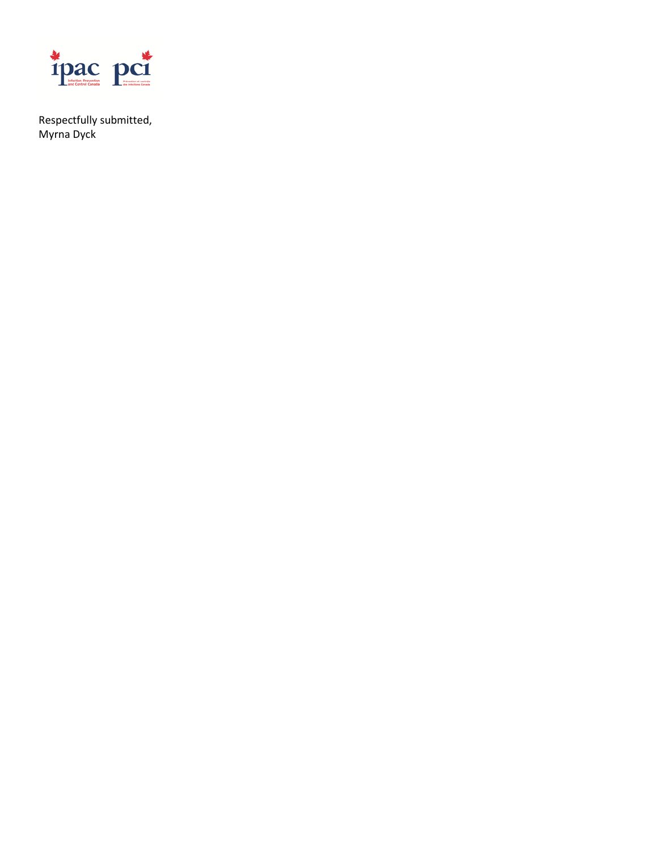

Respectfully submitted, Myrna Dyck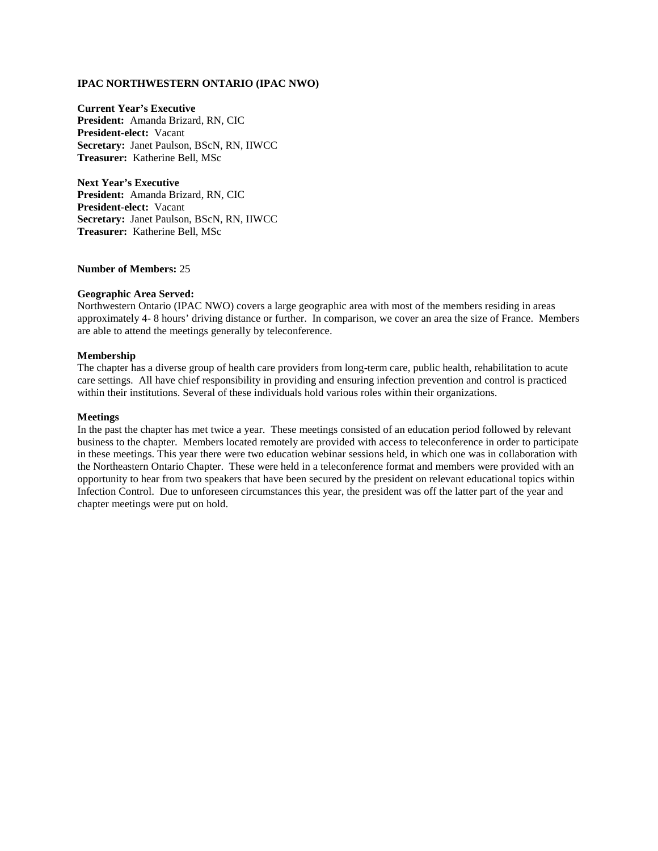### **IPAC NORTHWESTERN ONTARIO (IPAC NWO)**

**Current Year's Executive President:** Amanda Brizard, RN, CIC **President-elect:** Vacant **Secretary:** Janet Paulson, BScN, RN, IIWCC **Treasurer:** Katherine Bell, MSc

**Next Year's Executive President:** Amanda Brizard, RN, CIC **President-elect:** Vacant **Secretary:** Janet Paulson, BScN, RN, IIWCC **Treasurer:** Katherine Bell, MSc

### **Number of Members:** 25

#### **Geographic Area Served:**

Northwestern Ontario (IPAC NWO) covers a large geographic area with most of the members residing in areas approximately 4- 8 hours' driving distance or further. In comparison, we cover an area the size of France. Members are able to attend the meetings generally by teleconference.

#### **Membership**

The chapter has a diverse group of health care providers from long-term care, public health, rehabilitation to acute care settings. All have chief responsibility in providing and ensuring infection prevention and control is practiced within their institutions. Several of these individuals hold various roles within their organizations.

#### **Meetings**

In the past the chapter has met twice a year. These meetings consisted of an education period followed by relevant business to the chapter. Members located remotely are provided with access to teleconference in order to participate in these meetings. This year there were two education webinar sessions held, in which one was in collaboration with the Northeastern Ontario Chapter. These were held in a teleconference format and members were provided with an opportunity to hear from two speakers that have been secured by the president on relevant educational topics within Infection Control. Due to unforeseen circumstances this year, the president was off the latter part of the year and chapter meetings were put on hold.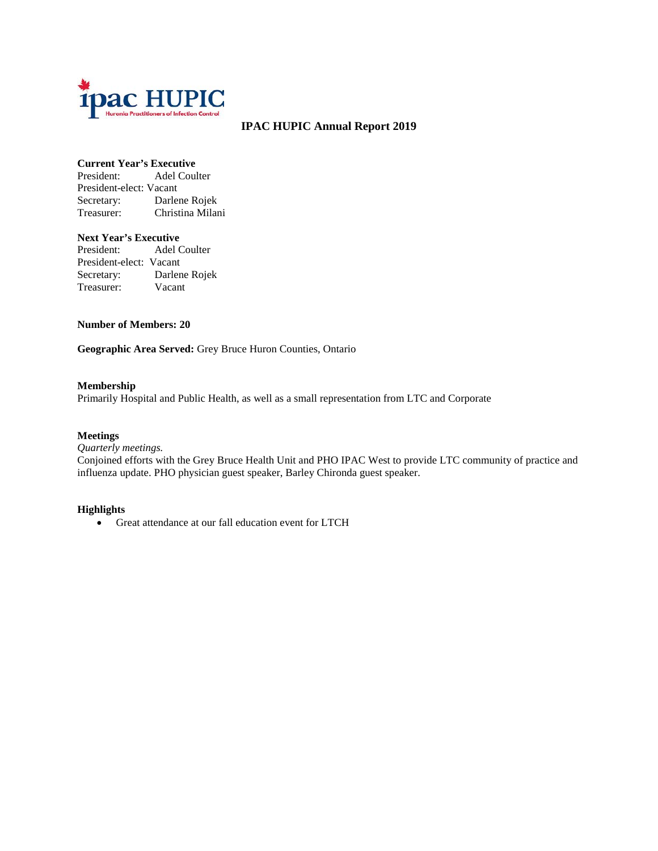

# **IPAC HUPIC Annual Report 2019**

### **Current Year's Executive**

President: Adel Coulter President-elect: Vacant Secretary: Darlene Rojek Treasurer: Christina Milani

### **Next Year's Executive**

President: Adel Coulter President-elect: Vacant Secretary: Darlene Rojek Treasurer: Vacant

### **Number of Members: 20**

**Geographic Area Served:** Grey Bruce Huron Counties, Ontario

### **Membership**

Primarily Hospital and Public Health, as well as a small representation from LTC and Corporate

### **Meetings**

*Quarterly meetings.* 

Conjoined efforts with the Grey Bruce Health Unit and PHO IPAC West to provide LTC community of practice and influenza update. PHO physician guest speaker, Barley Chironda guest speaker.

### **Highlights**

• Great attendance at our fall education event for LTCH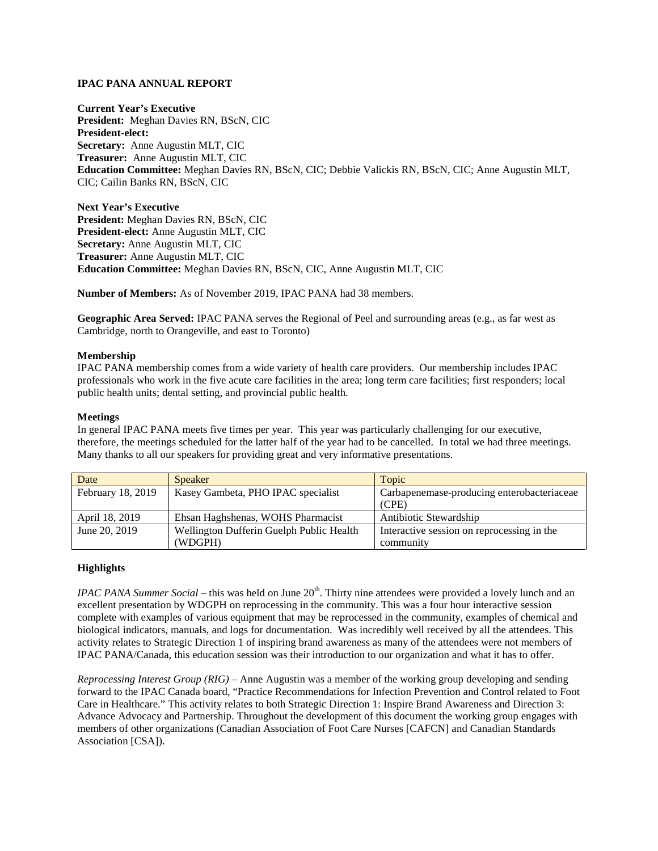### **IPAC PANA ANNUAL REPORT**

**Current Year's Executive President:** Meghan Davies RN, BScN, CIC **President-elect: Secretary:** Anne Augustin MLT, CIC **Treasurer:** Anne Augustin MLT, CIC **Education Committee:** Meghan Davies RN, BScN, CIC; Debbie Valickis RN, BScN, CIC; Anne Augustin MLT, CIC; Cailin Banks RN, BScN, CIC

**Next Year's Executive President:** Meghan Davies RN, BScN, CIC **President-elect:** Anne Augustin MLT, CIC **Secretary:** Anne Augustin MLT, CIC **Treasurer:** Anne Augustin MLT, CIC **Education Committee:** Meghan Davies RN, BScN, CIC, Anne Augustin MLT, CIC

**Number of Members:** As of November 2019, IPAC PANA had 38 members.

**Geographic Area Served:** IPAC PANA serves the Regional of Peel and surrounding areas (e.g., as far west as Cambridge, north to Orangeville, and east to Toronto)

### **Membership**

IPAC PANA membership comes from a wide variety of health care providers. Our membership includes IPAC professionals who work in the five acute care facilities in the area; long term care facilities; first responders; local public health units; dental setting, and provincial public health.

### **Meetings**

In general IPAC PANA meets five times per year. This year was particularly challenging for our executive, therefore, the meetings scheduled for the latter half of the year had to be cancelled. In total we had three meetings. Many thanks to all our speakers for providing great and very informative presentations.

| Date              | <b>Speaker</b>                           | Topic                                      |
|-------------------|------------------------------------------|--------------------------------------------|
| February 18, 2019 | Kasey Gambeta, PHO IPAC specialist       | Carbapenemase-producing enterobacteriaceae |
|                   |                                          | (CPE)                                      |
| April 18, 2019    | Ehsan Haghshenas, WOHS Pharmacist        | Antibiotic Stewardship                     |
| June 20, 2019     | Wellington Dufferin Guelph Public Health | Interactive session on reprocessing in the |
|                   | (WDGPH)                                  | community                                  |

### **Highlights**

*IPAC PANA Summer Social –* this was held on June 20<sup>th</sup>. Thirty nine attendees were provided a lovely lunch and an excellent presentation by WDGPH on reprocessing in the community. This was a four hour interactive session complete with examples of various equipment that may be reprocessed in the community, examples of chemical and biological indicators, manuals, and logs for documentation. Was incredibly well received by all the attendees. This activity relates to Strategic Direction 1 of inspiring brand awareness as many of the attendees were not members of IPAC PANA/Canada, this education session was their introduction to our organization and what it has to offer.

*Reprocessing Interest Group (RIG) –* Anne Augustin was a member of the working group developing and sending forward to the IPAC Canada board, "Practice Recommendations for Infection Prevention and Control related to Foot Care in Healthcare." This activity relates to both Strategic Direction 1: Inspire Brand Awareness and Direction 3: Advance Advocacy and Partnership. Throughout the development of this document the working group engages with members of other organizations (Canadian Association of Foot Care Nurses [CAFCN] and Canadian Standards Association [CSA]).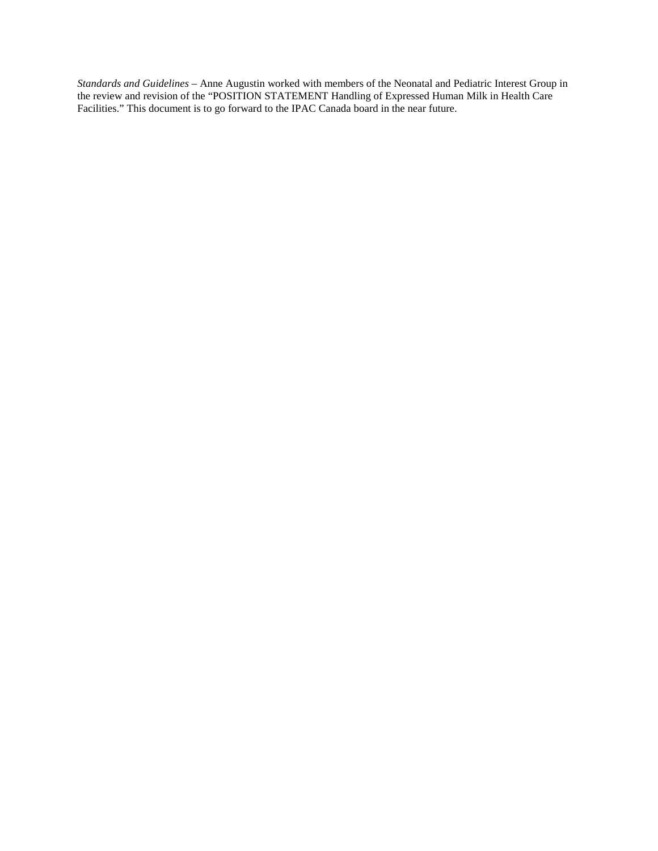*Standards and Guidelines* – Anne Augustin worked with members of the Neonatal and Pediatric Interest Group in the review and revision of the "POSITION STATEMENT Handling of Expressed Human Milk in Health Care Facilities." This document is to go forward to the IPAC Canada board in the near future.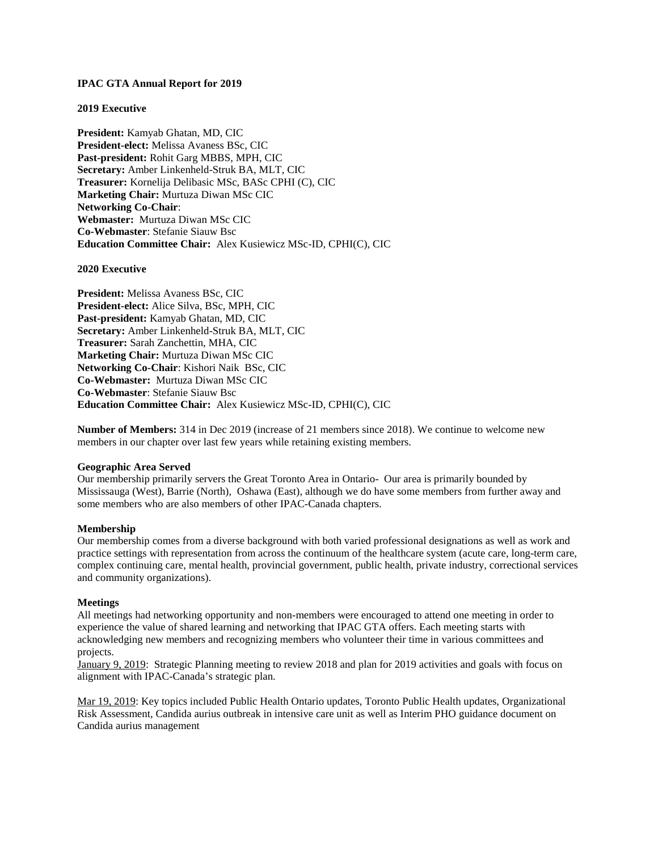### **IPAC GTA Annual Report for 2019**

### **2019 Executive**

**President:** Kamyab Ghatan, MD, CIC **President-elect:** Melissa Avaness BSc, CIC **Past-president:** Rohit Garg MBBS, MPH, CIC **Secretary:** Amber Linkenheld-Struk BA, MLT, CIC **Treasurer:** Kornelija Delibasic MSc, BASc CPHI (C), CIC **Marketing Chair:** Murtuza Diwan MSc CIC **Networking Co-Chair**: **Webmaster:** Murtuza Diwan MSc CIC **Co-Webmaster**: Stefanie Siauw Bsc **Education Committee Chair:** Alex Kusiewicz MSc-ID, CPHI(C), CIC

**2020 Executive**

**President:** Melissa Avaness BSc, CIC **President-elect:** Alice Silva, BSc, MPH, CIC **Past-president:** Kamyab Ghatan, MD, CIC **Secretary:** Amber Linkenheld-Struk BA, MLT, CIC **Treasurer:** Sarah Zanchettin, MHA, CIC **Marketing Chair:** Murtuza Diwan MSc CIC **Networking Co-Chair**: Kishori Naik BSc, CIC **Co-Webmaster:** Murtuza Diwan MSc CIC **Co-Webmaster**: Stefanie Siauw Bsc **Education Committee Chair:** Alex Kusiewicz MSc-ID, CPHI(C), CIC

**Number of Members:** 314 in Dec 2019 (increase of 21 members since 2018). We continue to welcome new members in our chapter over last few years while retaining existing members.

### **Geographic Area Served**

Our membership primarily servers the Great Toronto Area in Ontario- Our area is primarily bounded by Mississauga (West), Barrie (North), Oshawa (East), although we do have some members from further away and some members who are also members of other IPAC-Canada chapters.

### **Membership**

Our membership comes from a diverse background with both varied professional designations as well as work and practice settings with representation from across the continuum of the healthcare system (acute care, long-term care, complex continuing care, mental health, provincial government, public health, private industry, correctional services and community organizations).

### **Meetings**

All meetings had networking opportunity and non-members were encouraged to attend one meeting in order to experience the value of shared learning and networking that IPAC GTA offers. Each meeting starts with acknowledging new members and recognizing members who volunteer their time in various committees and projects.

January 9, 2019: Strategic Planning meeting to review 2018 and plan for 2019 activities and goals with focus on alignment with IPAC-Canada's strategic plan.

Mar 19, 2019: Key topics included Public Health Ontario updates, Toronto Public Health updates, Organizational Risk Assessment, Candida aurius outbreak in intensive care unit as well as Interim PHO guidance document on Candida aurius management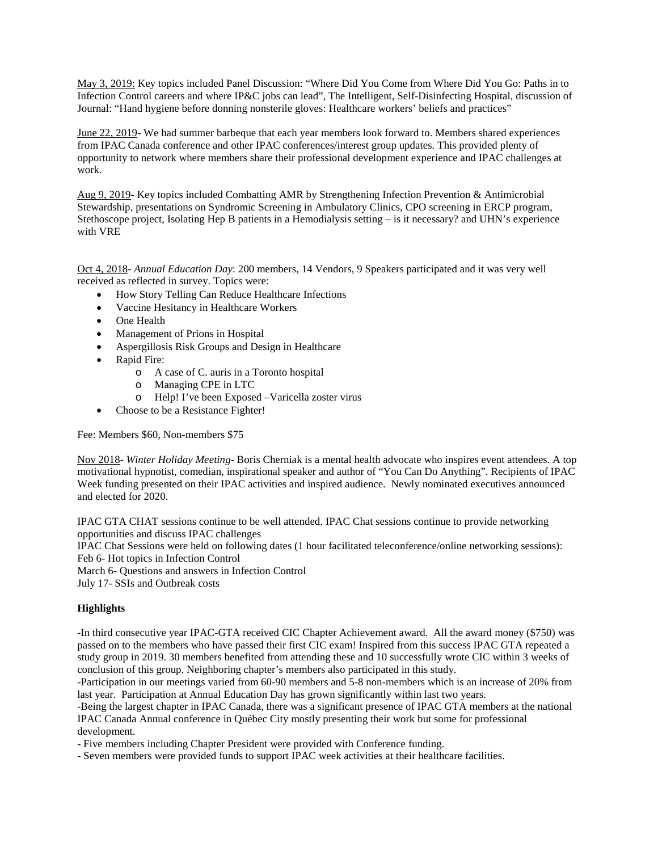May 3, 2019: Key topics included Panel Discussion: "Where Did You Come from Where Did You Go: Paths in to Infection Control careers and where IP&C jobs can lead", The Intelligent, Self-Disinfecting Hospital, discussion of Journal: "Hand hygiene before donning nonsterile gloves: Healthcare workers' beliefs and practices"

June 22, 2019- We had summer barbeque that each year members look forward to. Members shared experiences from IPAC Canada conference and other IPAC conferences/interest group updates. This provided plenty of opportunity to network where members share their professional development experience and IPAC challenges at work.

Aug 9, 2019- Key topics included Combatting AMR by Strengthening Infection Prevention & Antimicrobial Stewardship, presentations on Syndromic Screening in Ambulatory Clinics, CPO screening in ERCP program, Stethoscope project, Isolating Hep B patients in a Hemodialysis setting – is it necessary? and UHN's experience with VRE

Oct 4, 2018- *Annual Education Day*: 200 members, 14 Vendors, 9 Speakers participated and it was very well received as reflected in survey. Topics were:

- How Story Telling Can Reduce Healthcare Infections
- Vaccine Hesitancy in Healthcare Workers
- One Health
- Management of Prions in Hospital
- Aspergillosis Risk Groups and Design in Healthcare
- Rapid Fire:
	- o A case of C. auris in a Toronto hospital
	- o Managing CPE in LTC
	- o Help! I've been Exposed –Varicella zoster virus
- Choose to be a Resistance Fighter!

Fee: Members \$60, Non-members \$75

Nov 2018- *Winter Holiday Meeting*- Boris Cherniak is a mental health advocate who inspires event attendees. A top motivational hypnotist, comedian, inspirational speaker and author of "You Can Do Anything". Recipients of IPAC Week funding presented on their IPAC activities and inspired audience. Newly nominated executives announced and elected for 2020.

IPAC GTA CHAT sessions continue to be well attended. IPAC Chat sessions continue to provide networking opportunities and discuss IPAC challenges

IPAC Chat Sessions were held on following dates (1 hour facilitated teleconference/online networking sessions): Feb 6- Hot topics in Infection Control

March 6- Questions and answers in Infection Control

July 17- SSIs and Outbreak costs

### **Highlights**

-In third consecutive year IPAC-GTA received CIC Chapter Achievement award. All the award money (\$750) was passed on to the members who have passed their first CIC exam! Inspired from this success IPAC GTA repeated a study group in 2019. 30 members benefited from attending these and 10 successfully wrote CIC within 3 weeks of conclusion of this group. Neighboring chapter's members also participated in this study.

-Participation in our meetings varied from 60-90 members and 5-8 non-members which is an increase of 20% from last year. Participation at Annual Education Day has grown significantly within last two years.

-Being the largest chapter in IPAC Canada, there was a significant presence of IPAC GTA members at the national IPAC Canada Annual conference in Québec City mostly presenting their work but some for professional development.

- Five members including Chapter President were provided with Conference funding.

- Seven members were provided funds to support IPAC week activities at their healthcare facilities.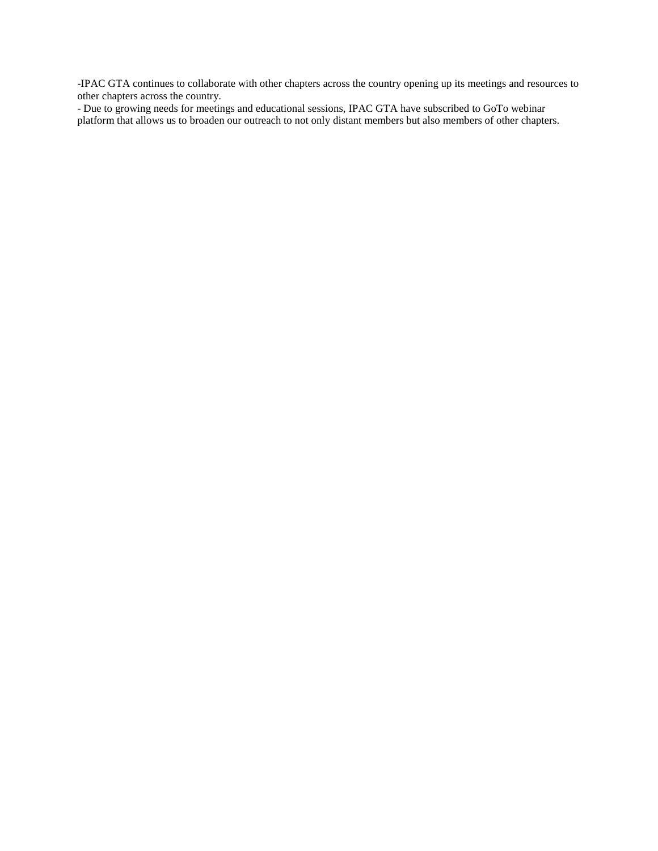-IPAC GTA continues to collaborate with other chapters across the country opening up its meetings and resources to other chapters across the country.

- Due to growing needs for meetings and educational sessions, IPAC GTA have subscribed to GoTo webinar platform that allows us to broaden our outreach to not only distant members but also members of other chapters.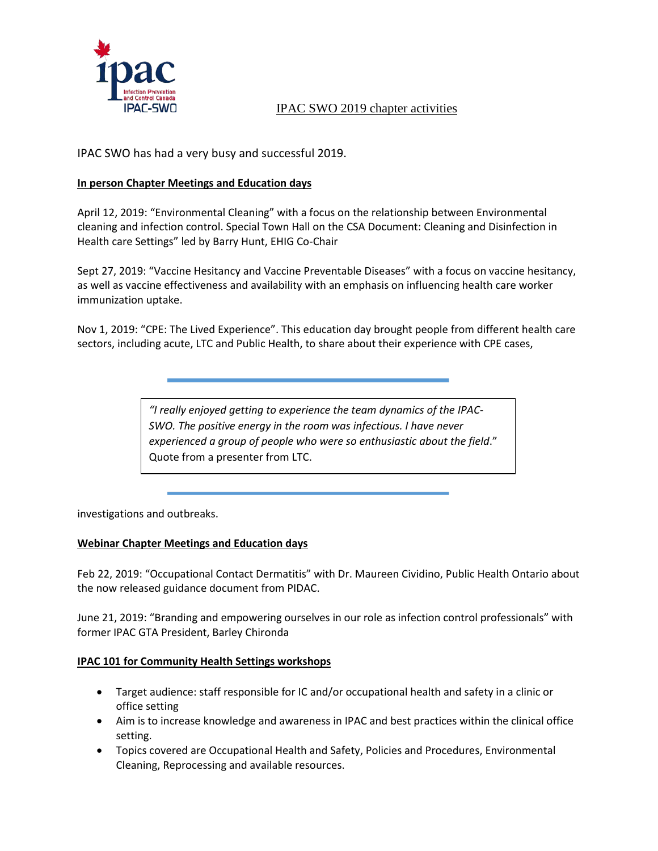

# IPAC SWO 2019 chapter activities

IPAC SWO has had a very busy and successful 2019.

# **In person Chapter Meetings and Education days**

April 12, 2019: "Environmental Cleaning" with a focus on the relationship between Environmental cleaning and infection control. Special Town Hall on the CSA Document: Cleaning and Disinfection in Health care Settings" led by Barry Hunt, EHIG Co-Chair

Sept 27, 2019: "Vaccine Hesitancy and Vaccine Preventable Diseases" with a focus on vaccine hesitancy, as well as vaccine effectiveness and availability with an emphasis on influencing health care worker immunization uptake.

Nov 1, 2019: "CPE: The Lived Experience". This education day brought people from different health care sectors, including acute, LTC and Public Health, to share about their experience with CPE cases,

> *"I really enjoyed getting to experience the team dynamics of the IPAC-SWO. The positive energy in the room was infectious. I have never experienced a group of people who were so enthusiastic about the field*." Quote from a presenter from LTC.

investigations and outbreaks.

# **Webinar Chapter Meetings and Education days**

Feb 22, 2019: "Occupational Contact Dermatitis" with Dr. Maureen Cividino, Public Health Ontario about the now released guidance document from PIDAC.

June 21, 2019: "Branding and empowering ourselves in our role as infection control professionals" with former IPAC GTA President, Barley Chironda

# **IPAC 101 for Community Health Settings workshops**

- Target audience: staff responsible for IC and/or occupational health and safety in a clinic or office setting
- Aim is to increase knowledge and awareness in IPAC and best practices within the clinical office setting.
- Topics covered are Occupational Health and Safety, Policies and Procedures, Environmental Cleaning, Reprocessing and available resources.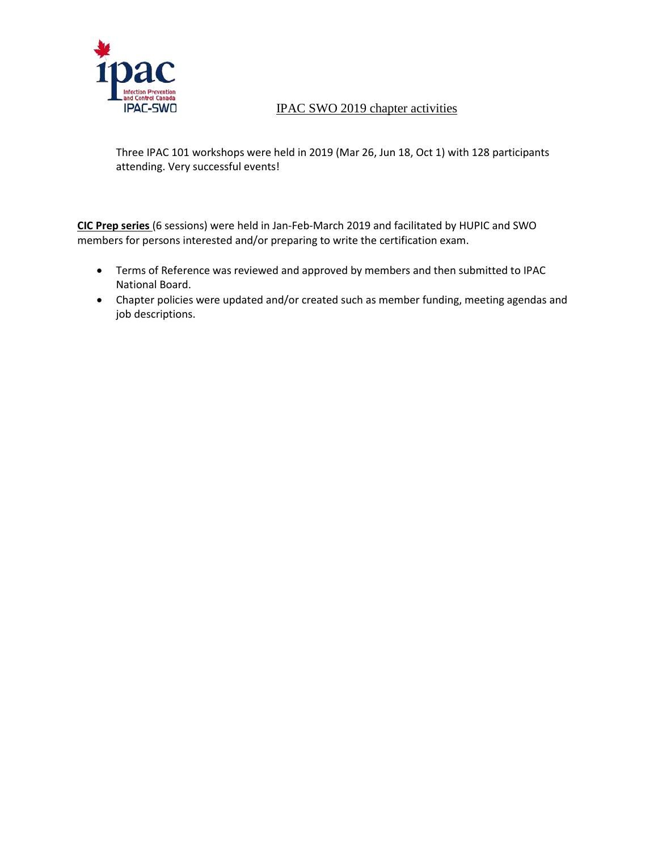

# IPAC-5WO IPAC SWO 2019 chapter activities

Three IPAC 101 workshops were held in 2019 (Mar 26, Jun 18, Oct 1) with 128 participants attending. Very successful events!

**CIC Prep series** (6 sessions) were held in Jan-Feb-March 2019 and facilitated by HUPIC and SWO members for persons interested and/or preparing to write the certification exam.

- Terms of Reference was reviewed and approved by members and then submitted to IPAC National Board.
- Chapter policies were updated and/or created such as member funding, meeting agendas and job descriptions.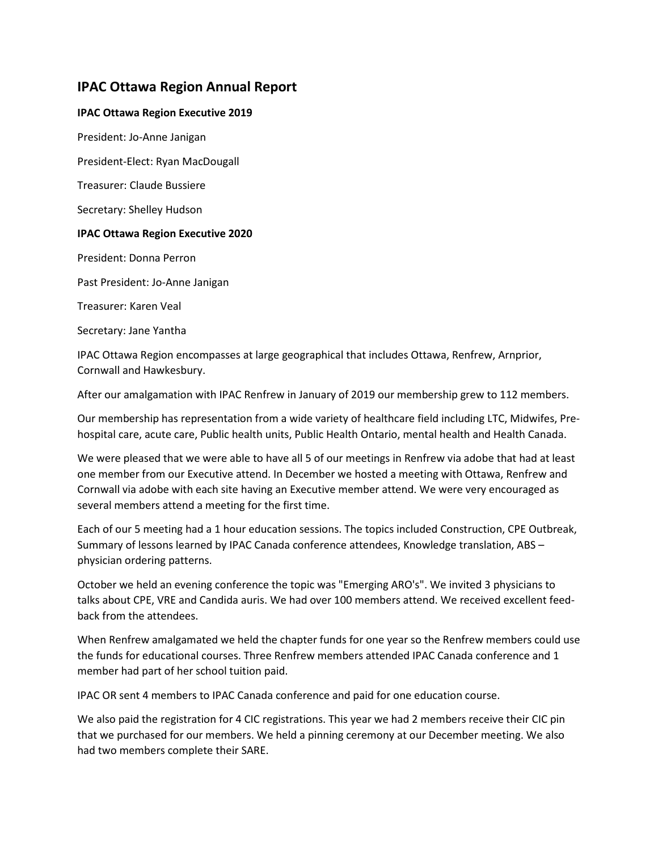# **IPAC Ottawa Region Annual Report**

# **IPAC Ottawa Region Executive 2019**

President: Jo-Anne Janigan

President-Elect: Ryan MacDougall

Treasurer: Claude Bussiere

Secretary: Shelley Hudson

### **IPAC Ottawa Region Executive 2020**

President: Donna Perron

Past President: Jo-Anne Janigan

Treasurer: Karen Veal

Secretary: Jane Yantha

IPAC Ottawa Region encompasses at large geographical that includes Ottawa, Renfrew, Arnprior, Cornwall and Hawkesbury.

After our amalgamation with IPAC Renfrew in January of 2019 our membership grew to 112 members.

Our membership has representation from a wide variety of healthcare field including LTC, Midwifes, Prehospital care, acute care, Public health units, Public Health Ontario, mental health and Health Canada.

We were pleased that we were able to have all 5 of our meetings in Renfrew via adobe that had at least one member from our Executive attend. In December we hosted a meeting with Ottawa, Renfrew and Cornwall via adobe with each site having an Executive member attend. We were very encouraged as several members attend a meeting for the first time.

Each of our 5 meeting had a 1 hour education sessions. The topics included Construction, CPE Outbreak, Summary of lessons learned by IPAC Canada conference attendees, Knowledge translation, ABS – physician ordering patterns.

October we held an evening conference the topic was "Emerging ARO's". We invited 3 physicians to talks about CPE, VRE and Candida auris. We had over 100 members attend. We received excellent feedback from the attendees.

When Renfrew amalgamated we held the chapter funds for one year so the Renfrew members could use the funds for educational courses. Three Renfrew members attended IPAC Canada conference and 1 member had part of her school tuition paid.

IPAC OR sent 4 members to IPAC Canada conference and paid for one education course.

We also paid the registration for 4 CIC registrations. This year we had 2 members receive their CIC pin that we purchased for our members. We held a pinning ceremony at our December meeting. We also had two members complete their SARE.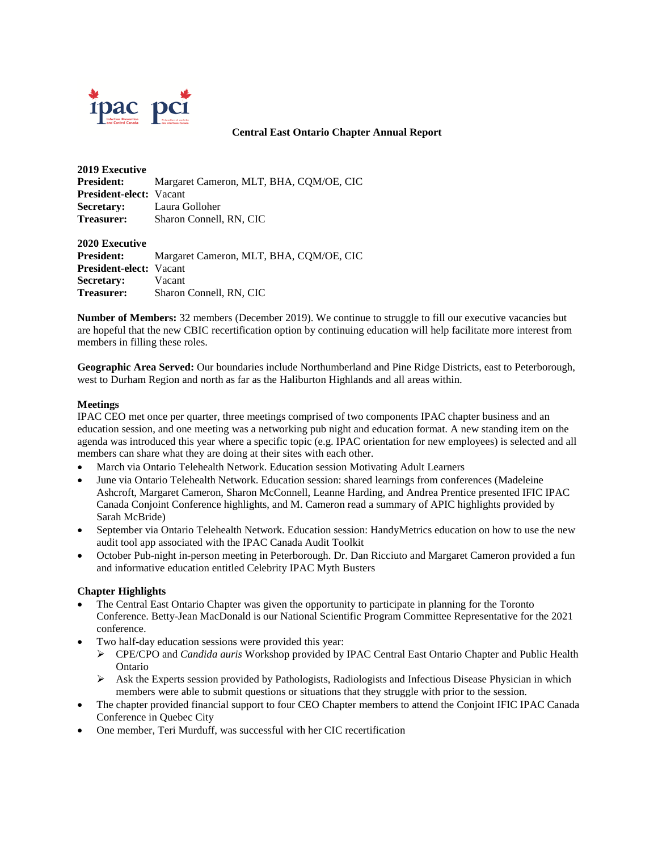

### **Central East Ontario Chapter Annual Report**

| <b>2019 Executive</b>          |                                         |
|--------------------------------|-----------------------------------------|
| <b>President:</b>              | Margaret Cameron, MLT, BHA, COM/OE, CIC |
| <b>President-elect:</b> Vacant |                                         |
| Secretary:                     | Laura Golloher                          |
| <b>Treasurer:</b>              | Sharon Connell, RN, CIC                 |
|                                |                                         |

**2020 Executive President:** Margaret Cameron, MLT, BHA, CQM/OE, CIC **President-elect:** Vacant **Secretary:** Vacant **Treasurer:** Sharon Connell, RN, CIC

**Number of Members:** 32 members (December 2019). We continue to struggle to fill our executive vacancies but are hopeful that the new CBIC recertification option by continuing education will help facilitate more interest from members in filling these roles.

**Geographic Area Served:** Our boundaries include Northumberland and Pine Ridge Districts, east to Peterborough, west to Durham Region and north as far as the Haliburton Highlands and all areas within.

### **Meetings**

IPAC CEO met once per quarter, three meetings comprised of two components IPAC chapter business and an education session, and one meeting was a networking pub night and education format. A new standing item on the agenda was introduced this year where a specific topic (e.g. IPAC orientation for new employees) is selected and all members can share what they are doing at their sites with each other.

- March via Ontario Telehealth Network. Education session Motivating Adult Learners
- June via Ontario Telehealth Network. Education session: shared learnings from conferences (Madeleine Ashcroft, Margaret Cameron, Sharon McConnell, Leanne Harding, and Andrea Prentice presented IFIC IPAC Canada Conjoint Conference highlights, and M. Cameron read a summary of APIC highlights provided by Sarah McBride)
- September via Ontario Telehealth Network. Education session: HandyMetrics education on how to use the new audit tool app associated with the IPAC Canada Audit Toolkit
- October Pub-night in-person meeting in Peterborough. Dr. Dan Ricciuto and Margaret Cameron provided a fun and informative education entitled Celebrity IPAC Myth Busters

### **Chapter Highlights**

- The Central East Ontario Chapter was given the opportunity to participate in planning for the Toronto Conference. Betty-Jean MacDonald is our National Scientific Program Committee Representative for the 2021 conference.
- Two half-day education sessions were provided this year:
	- CPE/CPO and *Candida auris* Workshop provided by IPAC Central East Ontario Chapter and Public Health Ontario
	- $\triangleright$  Ask the Experts session provided by Pathologists, Radiologists and Infectious Disease Physician in which members were able to submit questions or situations that they struggle with prior to the session.
- The chapter provided financial support to four CEO Chapter members to attend the Conjoint IFIC IPAC Canada Conference in Quebec City
- One member, Teri Murduff, was successful with her CIC recertification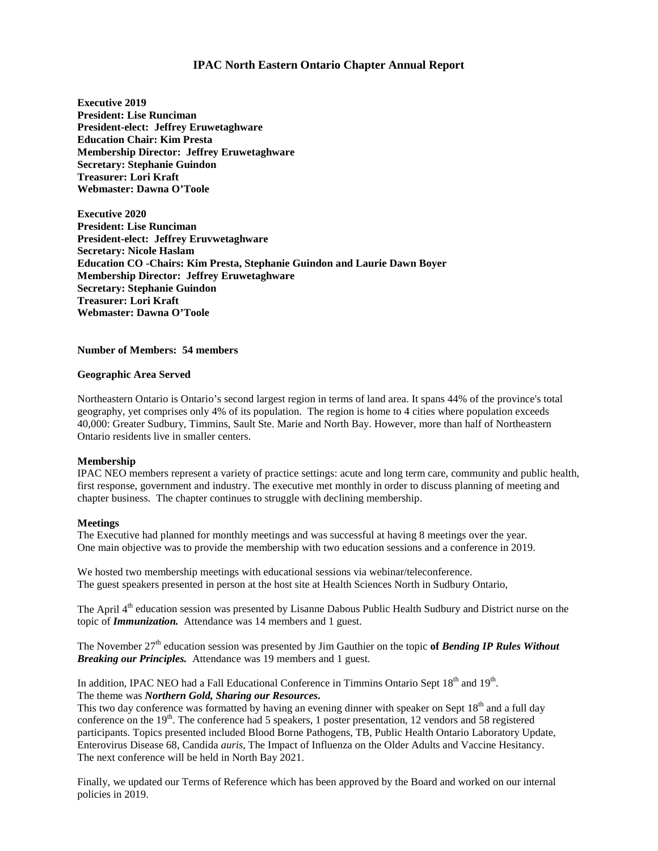### **IPAC North Eastern Ontario Chapter Annual Report**

**Executive 2019 President: Lise Runciman President-elect: Jeffrey Eruwetaghware Education Chair: Kim Presta Membership Director: Jeffrey Eruwetaghware Secretary: Stephanie Guindon Treasurer: Lori Kraft Webmaster: Dawna O'Toole**

**Executive 2020 President: Lise Runciman President-elect: Jeffrey Eruvwetaghware Secretary: Nicole Haslam Education CO -Chairs: Kim Presta, Stephanie Guindon and Laurie Dawn Boyer Membership Director: Jeffrey Eruwetaghware Secretary: Stephanie Guindon Treasurer: Lori Kraft Webmaster: Dawna O'Toole**

**Number of Members: 54 members**

#### **Geographic Area Served**

Northeastern Ontario is Ontario's second largest region in terms of land area. It spans 44% of the province's total geography, yet comprises only 4% of its population. The region is home to 4 cities where population exceeds 40,000: Greater Sudbury, Timmins, Sault Ste. Marie and North Bay. However, more than half of Northeastern Ontario residents live in smaller centers.

### **Membership**

IPAC NEO members represent a variety of practice settings: acute and long term care, community and public health, first response, government and industry. The executive met monthly in order to discuss planning of meeting and chapter business. The chapter continues to struggle with declining membership.

### **Meetings**

The Executive had planned for monthly meetings and was successful at having 8 meetings over the year. One main objective was to provide the membership with two education sessions and a conference in 2019.

We hosted two membership meetings with educational sessions via webinar/teleconference. The guest speakers presented in person at the host site at Health Sciences North in Sudbury Ontario,

The April 4<sup>th</sup> education session was presented by Lisanne Dabous Public Health Sudbury and District nurse on the topic of *Immunization.* Attendance was 14 members and 1 guest.

The November 27th education session was presented by Jim Gauthier on the topic **of** *Bending IP Rules Without Breaking our Principles.* Attendance was 19 members and 1 guest.

In addition, IPAC NEO had a Fall Educational Conference in Timmins Ontario Sept 18<sup>th</sup> and 19<sup>th</sup>. The theme was *Northern Gold, Sharing our Resources***.**

This two day conference was formatted by having an evening dinner with speaker on Sept  $18<sup>th</sup>$  and a full day conference on the 19<sup>th</sup>. The conference had 5 speakers, 1 poster presentation, 12 vendors and 58 registered participants. Topics presented included Blood Borne Pathogens, TB, Public Health Ontario Laboratory Update, Enterovirus Disease 68, Candida *auris*, The Impact of Influenza on the Older Adults and Vaccine Hesitancy. The next conference will be held in North Bay 2021.

Finally, we updated our Terms of Reference which has been approved by the Board and worked on our internal policies in 2019.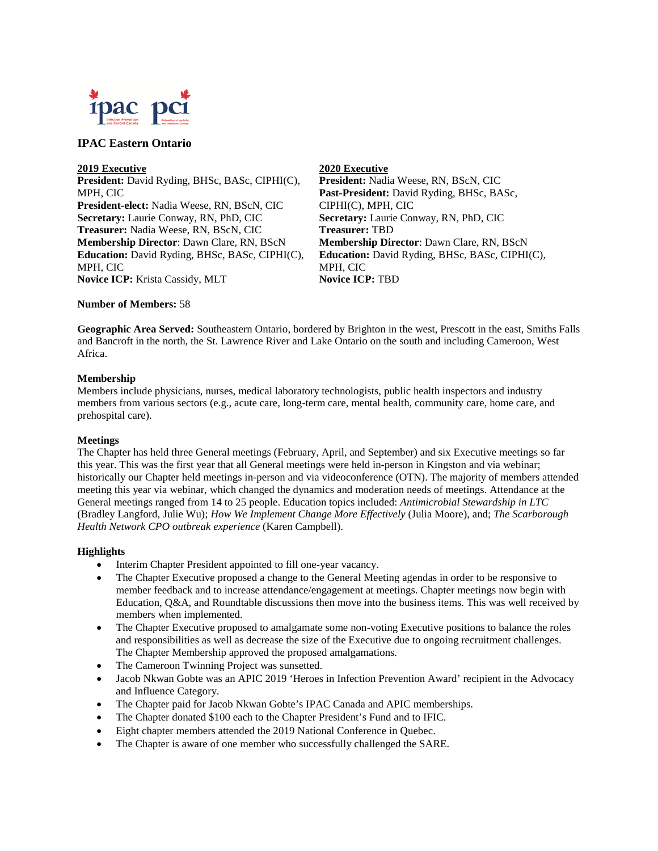

### **IPAC Eastern Ontario**

#### **2019 Executive**

**President:** David Ryding, BHSc, BASc, CIPHI(C), MPH, CIC **President-elect:** Nadia Weese, RN, BScN, CIC **Secretary:** Laurie Conway, RN, PhD, CIC **Treasurer:** Nadia Weese, RN, BScN, CIC **Membership Director**: Dawn Clare, RN, BScN **Education:** David Ryding, BHSc, BASc, CIPHI(C), MPH, CIC **Novice ICP:** Krista Cassidy, MLT

### **2020 Executive**

**President:** Nadia Weese, RN, BScN, CIC **Past-President:** David Ryding, BHSc, BASc, CIPHI(C), MPH, CIC **Secretary:** Laurie Conway, RN, PhD, CIC **Treasurer:** TBD **Membership Director**: Dawn Clare, RN, BScN **Education:** David Ryding, BHSc, BASc, CIPHI(C), MPH, CIC **Novice ICP:** TBD

### **Number of Members:** 58

**Geographic Area Served:** Southeastern Ontario, bordered by Brighton in the west, Prescott in the east, Smiths Falls and Bancroft in the north, the St. Lawrence River and Lake Ontario on the south and including Cameroon, West Africa.

### **Membership**

Members include physicians, nurses, medical laboratory technologists, public health inspectors and industry members from various sectors (e.g., acute care, long-term care, mental health, community care, home care, and prehospital care).

### **Meetings**

The Chapter has held three General meetings (February, April, and September) and six Executive meetings so far this year. This was the first year that all General meetings were held in-person in Kingston and via webinar; historically our Chapter held meetings in-person and via videoconference (OTN). The majority of members attended meeting this year via webinar, which changed the dynamics and moderation needs of meetings. Attendance at the General meetings ranged from 14 to 25 people. Education topics included: *Antimicrobial Stewardship in LTC* (Bradley Langford, Julie Wu); *How We Implement Change More Effectively* (Julia Moore), and; *The Scarborough Health Network CPO outbreak experience* (Karen Campbell).

### **Highlights**

- Interim Chapter President appointed to fill one-year vacancy.
- The Chapter Executive proposed a change to the General Meeting agendas in order to be responsive to member feedback and to increase attendance/engagement at meetings. Chapter meetings now begin with Education, Q&A, and Roundtable discussions then move into the business items. This was well received by members when implemented.
- The Chapter Executive proposed to amalgamate some non-voting Executive positions to balance the roles and responsibilities as well as decrease the size of the Executive due to ongoing recruitment challenges. The Chapter Membership approved the proposed amalgamations.
- The Cameroon Twinning Project was sunsetted.
- Jacob Nkwan Gobte was an APIC 2019 'Heroes in Infection Prevention Award' recipient in the Advocacy and Influence Category.
- The Chapter paid for Jacob Nkwan Gobte's IPAC Canada and APIC memberships.
- The Chapter donated \$100 each to the Chapter President's Fund and to IFIC.
- Eight chapter members attended the 2019 National Conference in Quebec.
- The Chapter is aware of one member who successfully challenged the SARE.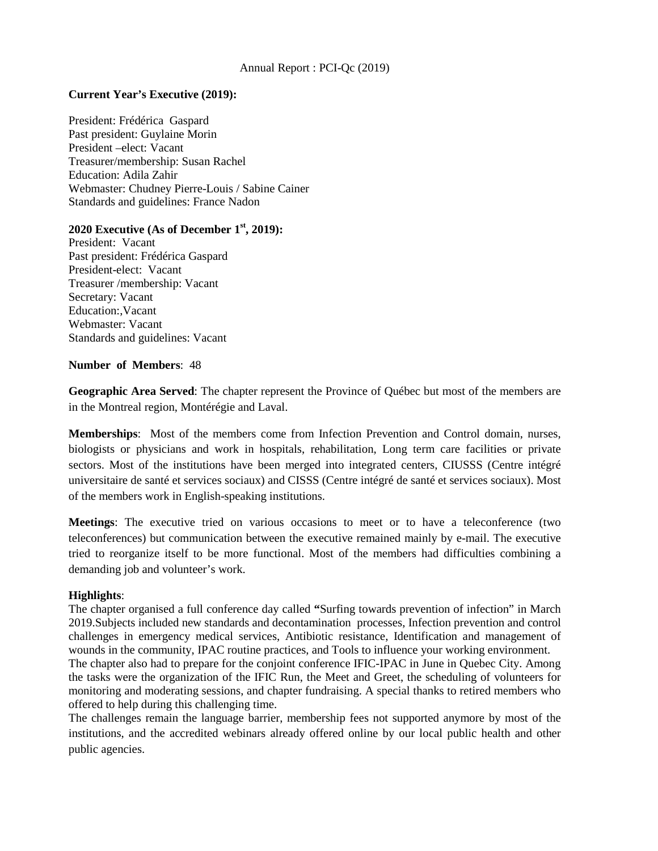# Annual Report : PCI-Qc (2019)

# **Current Year's Executive (2019):**

President: Frédérica Gaspard Past president: Guylaine Morin President –elect: Vacant Treasurer/membership: Susan Rachel Education: Adila Zahir Webmaster: Chudney Pierre-Louis / Sabine Cainer Standards and guidelines: France Nadon

# **2020 Executive (As of December 1st, 2019):**

President: Vacant Past president: Frédérica Gaspard President-elect: Vacant Treasurer /membership: Vacant Secretary: Vacant Education:,Vacant Webmaster: Vacant Standards and guidelines: Vacant

### **Number of Members**: 48

**Geographic Area Served**: The chapter represent the Province of Québec but most of the members are in the Montreal region, Montérégie and Laval.

**Memberships**: Most of the members come from Infection Prevention and Control domain, nurses, biologists or physicians and work in hospitals, rehabilitation, Long term care facilities or private sectors. Most of the institutions have been merged into integrated centers, CIUSSS (Centre intégré universitaire de santé et services sociaux) and CISSS (Centre intégré de santé et services sociaux). Most of the members work in English-speaking institutions.

**Meetings**: The executive tried on various occasions to meet or to have a teleconference (two teleconferences) but communication between the executive remained mainly by e-mail. The executive tried to reorganize itself to be more functional. Most of the members had difficulties combining a demanding job and volunteer's work.

# **Highlights**:

The chapter organised a full conference day called **"**Surfing towards prevention of infection" in March 2019.Subjects included new standards and decontamination processes, Infection prevention and control challenges in emergency medical services, Antibiotic resistance, Identification and management of wounds in the community, IPAC routine practices, and Tools to influence your working environment. The chapter also had to prepare for the conjoint conference IFIC-IPAC in June in Quebec City. Among the tasks were the organization of the IFIC Run, the Meet and Greet, the scheduling of volunteers for monitoring and moderating sessions, and chapter fundraising. A special thanks to retired members who offered to help during this challenging time.

The challenges remain the language barrier, membership fees not supported anymore by most of the institutions, and the accredited webinars already offered online by our local public health and other public agencies.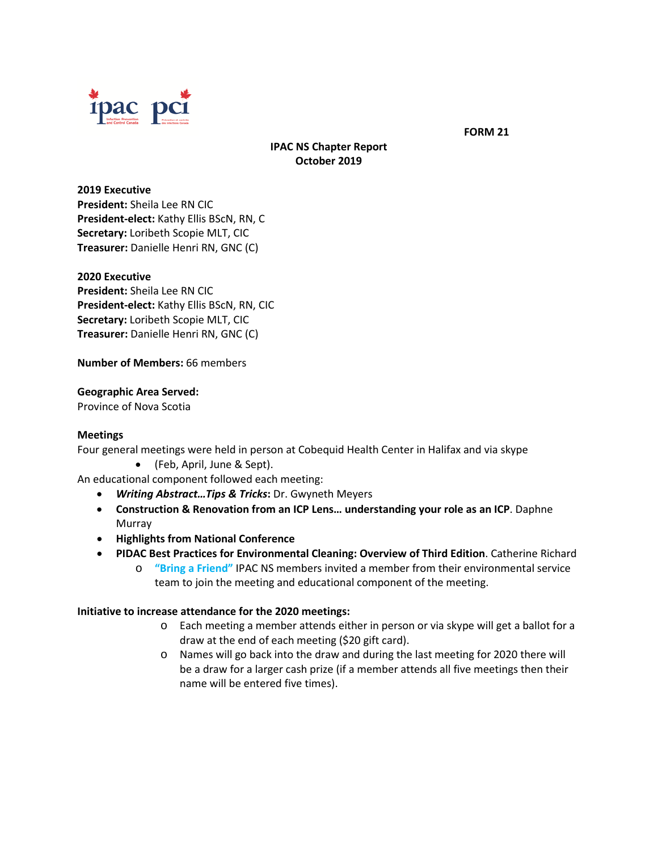

 **FORM 21**

# **IPAC NS Chapter Report October 2019**

### **2019 Executive**

**President:** Sheila Lee RN CIC **President-elect:** Kathy Ellis BScN, RN, C **Secretary:** Loribeth Scopie MLT, CIC **Treasurer:** Danielle Henri RN, GNC (C)

### **2020 Executive**

**President:** Sheila Lee RN CIC **President-elect:** Kathy Ellis BScN, RN, CIC **Secretary:** Loribeth Scopie MLT, CIC **Treasurer:** Danielle Henri RN, GNC (C)

**Number of Members:** 66 members

# **Geographic Area Served:**

Province of Nova Scotia

### **Meetings**

Four general meetings were held in person at Cobequid Health Center in Halifax and via skype

• (Feb, April, June & Sept).

An educational component followed each meeting:

- *Writing Abstract…Tips & Tricks***:** Dr. Gwyneth Meyers
- **Construction & Renovation from an ICP Lens… understanding your role as an ICP**. Daphne Murray
- **Highlights from National Conference**
- **PIDAC Best Practices for Environmental Cleaning: Overview of Third Edition**. Catherine Richard
	- o **"Bring a Friend"** IPAC NS members invited a member from their environmental service team to join the meeting and educational component of the meeting.

# **Initiative to increase attendance for the 2020 meetings:**

- o Each meeting a member attends either in person or via skype will get a ballot for a draw at the end of each meeting (\$20 gift card).
- o Names will go back into the draw and during the last meeting for 2020 there will be a draw for a larger cash prize (if a member attends all five meetings then their name will be entered five times).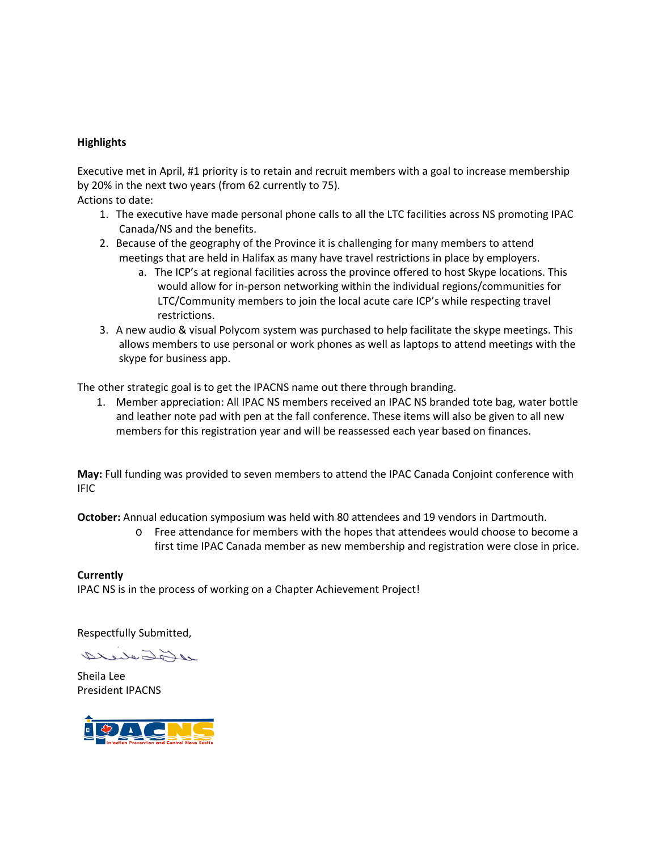# **Highlights**

Executive met in April, #1 priority is to retain and recruit members with a goal to increase membership by 20% in the next two years (from 62 currently to 75).

Actions to date:

- 1. The executive have made personal phone calls to all the LTC facilities across NS promoting IPAC Canada/NS and the benefits.
- 2. Because of the geography of the Province it is challenging for many members to attend meetings that are held in Halifax as many have travel restrictions in place by employers.
	- a. The ICP's at regional facilities across the province offered to host Skype locations. This would allow for in-person networking within the individual regions/communities for LTC/Community members to join the local acute care ICP's while respecting travel restrictions.
- 3. A new audio & visual Polycom system was purchased to help facilitate the skype meetings. This allows members to use personal or work phones as well as laptops to attend meetings with the skype for business app.

The other strategic goal is to get the IPACNS name out there through branding.

1. Member appreciation: All IPAC NS members received an IPAC NS branded tote bag, water bottle and leather note pad with pen at the fall conference. These items will also be given to all new members for this registration year and will be reassessed each year based on finances.

**May:** Full funding was provided to seven members to attend the IPAC Canada Conjoint conference with IFIC

**October:** Annual education symposium was held with 80 attendees and 19 vendors in Dartmouth.

o Free attendance for members with the hopes that attendees would choose to become a first time IPAC Canada member as new membership and registration were close in price.

**Currently** IPAC NS is in the process of working on a Chapter Achievement Project!

Respectfully Submitted,

11 Foto de 14

Sheila Lee President IPACNS

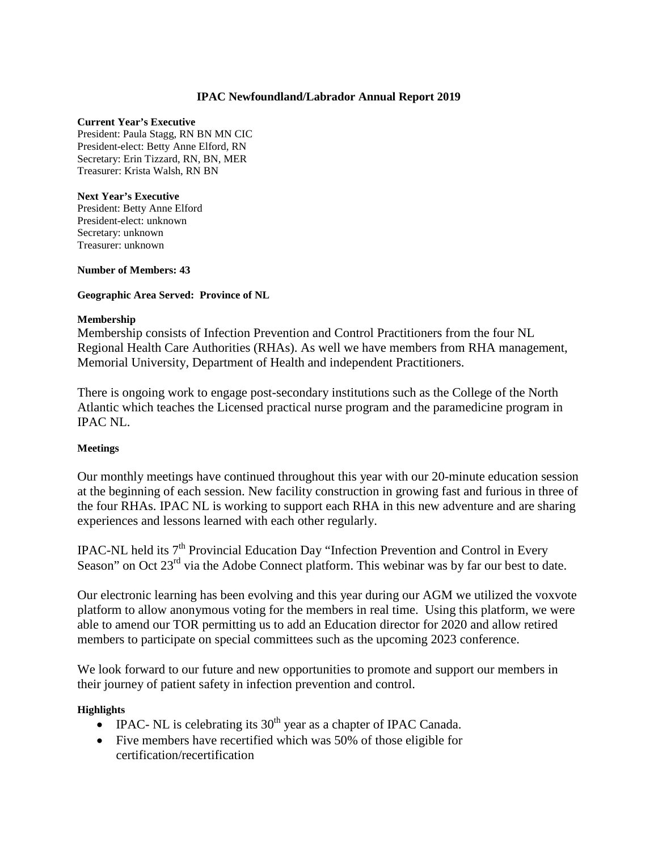# **IPAC Newfoundland/Labrador Annual Report 2019**

### **Current Year's Executive**

President: Paula Stagg, RN BN MN CIC President-elect: Betty Anne Elford, RN Secretary: Erin Tizzard, RN, BN, MER Treasurer: Krista Walsh, RN BN

### **Next Year's Executive**

President: Betty Anne Elford President-elect: unknown Secretary: unknown Treasurer: unknown

### **Number of Members: 43**

# **Geographic Area Served: Province of NL**

### **Membership**

Membership consists of Infection Prevention and Control Practitioners from the four NL Regional Health Care Authorities (RHAs). As well we have members from RHA management, Memorial University, Department of Health and independent Practitioners.

There is ongoing work to engage post-secondary institutions such as the College of the North Atlantic which teaches the Licensed practical nurse program and the paramedicine program in IPAC NL.

# **Meetings**

Our monthly meetings have continued throughout this year with our 20-minute education session at the beginning of each session. New facility construction in growing fast and furious in three of the four RHAs. IPAC NL is working to support each RHA in this new adventure and are sharing experiences and lessons learned with each other regularly.

IPAC-NL held its  $7<sup>th</sup>$  Provincial Education Day "Infection Prevention and Control in Every Season" on Oct 23<sup>rd</sup> via the Adobe Connect platform. This webinar was by far our best to date.

Our electronic learning has been evolving and this year during our AGM we utilized the voxvote platform to allow anonymous voting for the members in real time. Using this platform, we were able to amend our TOR permitting us to add an Education director for 2020 and allow retired members to participate on special committees such as the upcoming 2023 conference.

We look forward to our future and new opportunities to promote and support our members in their journey of patient safety in infection prevention and control.

# **Highlights**

- IPAC- NL is celebrating its  $30<sup>th</sup>$  year as a chapter of IPAC Canada.
- Five members have recertified which was 50% of those eligible for certification/recertification